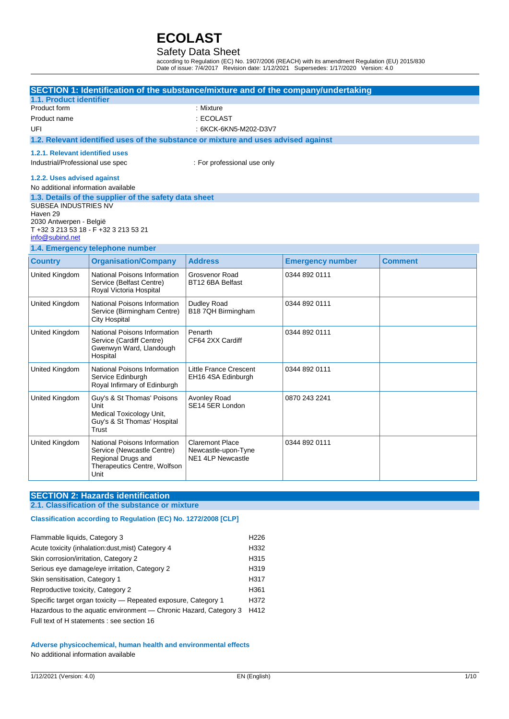### Safety Data Sheet

according to Regulation (EC) No. 1907/2006 (REACH) with its amendment Regulation (EU) 2015/830 Date of issue: 7/4/2017 Revision date: 1/12/2021 Supersedes: 1/17/2020 Version: 4.0

|                                     |                                                             | SECTION 1: Identification of the substance/mixture and of the company/undertaking  |                         |                |  |
|-------------------------------------|-------------------------------------------------------------|------------------------------------------------------------------------------------|-------------------------|----------------|--|
| 1.1. Product identifier             |                                                             |                                                                                    |                         |                |  |
| Product form                        |                                                             |                                                                                    | : Mixture               |                |  |
| Product name                        |                                                             | : ECOLAST                                                                          |                         |                |  |
| UFI                                 |                                                             | : 6KCK-6KN5-M202-D3V7                                                              |                         |                |  |
|                                     |                                                             | 1.2. Relevant identified uses of the substance or mixture and uses advised against |                         |                |  |
| 1.2.1. Relevant identified uses     |                                                             |                                                                                    |                         |                |  |
| Industrial/Professional use spec    |                                                             | : For professional use only                                                        |                         |                |  |
| 1.2.2. Uses advised against         |                                                             |                                                                                    |                         |                |  |
| No additional information available |                                                             |                                                                                    |                         |                |  |
|                                     | 1.3. Details of the supplier of the safety data sheet       |                                                                                    |                         |                |  |
| SUBSEA INDUSTRIES NV                |                                                             |                                                                                    |                         |                |  |
| Haven 29<br>2030 Antwerpen - België |                                                             |                                                                                    |                         |                |  |
|                                     | T +32 3 213 53 18 - F +32 3 213 53 21                       |                                                                                    |                         |                |  |
| info@subind.net                     |                                                             |                                                                                    |                         |                |  |
|                                     | 1.4. Emergency telephone number                             |                                                                                    |                         |                |  |
| <b>Country</b>                      | <b>Organisation/Company</b>                                 | <b>Address</b>                                                                     | <b>Emergency number</b> | <b>Comment</b> |  |
| United Kingdom                      | National Poisons Information<br>Service (Belfast Centre)    | Grosvenor Road<br>BT12 6BA Belfast                                                 | 0344 892 0111           |                |  |
|                                     | Royal Victoria Hospital                                     |                                                                                    |                         |                |  |
| United Kingdom                      | National Poisons Information<br>Service (Birmingham Centre) | Dudley Road<br>B18 7QH Birmingham                                                  | 0344 892 0111           |                |  |
|                                     | <b>City Hospital</b>                                        |                                                                                    |                         |                |  |
| United Kingdom                      | National Poisons Information<br>Service (Cardiff Centre)    | Penarth<br>CF64 2XX Cardiff                                                        | 0344 892 0111           |                |  |
|                                     | Gwenwyn Ward, Llandough                                     |                                                                                    |                         |                |  |
|                                     | Hospital                                                    |                                                                                    |                         |                |  |
| United Kingdom                      | National Poisons Information                                | Little France Crescent                                                             | 0344 892 0111           |                |  |
|                                     | Service Edinburgh<br>Royal Infirmary of Edinburgh           | EH16 4SA Edinburgh                                                                 |                         |                |  |
| United Kingdom                      | Guy's & St Thomas' Poisons                                  | Avonley Road                                                                       | 0870 243 2241           |                |  |
|                                     | Unit                                                        | SE14 5ER London                                                                    |                         |                |  |
|                                     | Medical Toxicology Unit,                                    |                                                                                    |                         |                |  |
|                                     | Guy's & St Thomas' Hospital<br>Trust                        |                                                                                    |                         |                |  |
| United Kingdom                      | National Poisons Information                                | <b>Claremont Place</b>                                                             | 0344 892 0111           |                |  |
|                                     | Service (Newcastle Centre)                                  | Newcastle-upon-Tyne                                                                |                         |                |  |
|                                     | Regional Drugs and                                          | <b>NE1 4LP Newcastle</b>                                                           |                         |                |  |
|                                     | Therapeutics Centre, Wolfson<br>Unit                        |                                                                                    |                         |                |  |

### **SECTION 2: Hazards identification**

#### **2.1. Classification of the substance or mixture**

### **Classification according to Regulation (EC) No. 1272/2008 [CLP]**

| Flammable liquids, Category 3                                     | H <sub>226</sub> |
|-------------------------------------------------------------------|------------------|
| Acute toxicity (inhalation: dust, mist) Category 4                | H332             |
| Skin corrosion/irritation, Category 2                             | H315             |
| Serious eye damage/eye irritation, Category 2                     | H <sub>319</sub> |
| Skin sensitisation, Category 1                                    | H317             |
| Reproductive toxicity, Category 2                                 | H361             |
| Specific target organ toxicity — Repeated exposure, Category 1    | H372             |
| Hazardous to the aquatic environment - Chronic Hazard, Category 3 | H412             |
| Full text of H statements : see section 16                        |                  |

#### **Adverse physicochemical, human health and environmental effects** No additional information available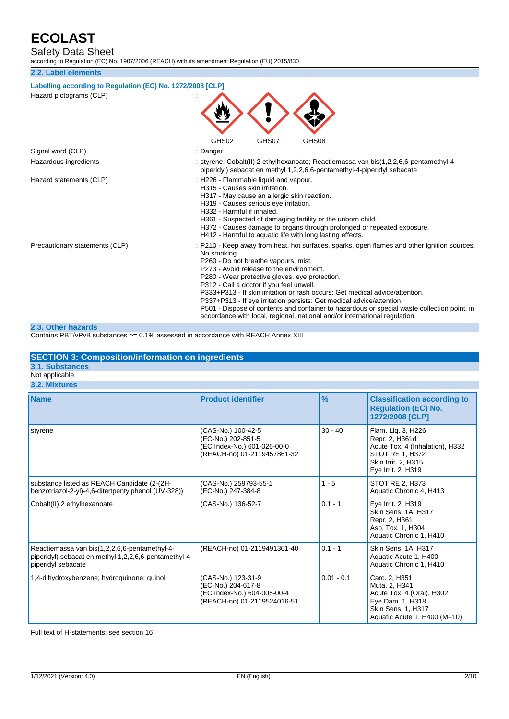Safety Data Sheet

according to Regulation (EC) No. 1907/2006 (REACH) with its amendment Regulation (EU) 2015/830

#### **2.2. Label elements**

| Labelling according to Regulation (EC) No. 1272/2008 [CLP]<br>GHS02<br>GHS07<br>GHS08                                                                                                                                                                                                                                                                                                                                                                                                                                                                                                                                              |
|------------------------------------------------------------------------------------------------------------------------------------------------------------------------------------------------------------------------------------------------------------------------------------------------------------------------------------------------------------------------------------------------------------------------------------------------------------------------------------------------------------------------------------------------------------------------------------------------------------------------------------|
| : Danger                                                                                                                                                                                                                                                                                                                                                                                                                                                                                                                                                                                                                           |
| : styrene; Cobalt(II) 2 ethylhexanoate; Reactiemassa van bis(1,2,2,6,6-pentamethyl-4-<br>piperidyl) sebacat en methyl 1,2,2,6,6-pentamethyl-4-piperidyl sebacate                                                                                                                                                                                                                                                                                                                                                                                                                                                                   |
| : H226 - Flammable liquid and vapour.<br>H315 - Causes skin irritation.<br>H317 - May cause an allergic skin reaction.<br>H319 - Causes serious eye irritation.<br>H332 - Harmful if inhaled.<br>H361 - Suspected of damaging fertility or the unborn child.<br>H372 - Causes damage to organs through prolonged or repeated exposure.<br>H412 - Harmful to aquatic life with long lasting effects.                                                                                                                                                                                                                                |
| : P210 - Keep away from heat, hot surfaces, sparks, open flames and other ignition sources.<br>No smoking.<br>P260 - Do not breathe vapours, mist.<br>P273 - Avoid release to the environment.<br>P280 - Wear protective gloves, eye protection.<br>P312 - Call a doctor if you feel unwell.<br>P333+P313 - If skin irritation or rash occurs: Get medical advice/attention.<br>P337+P313 - If eye irritation persists: Get medical advice/attention.<br>P501 - Dispose of contents and container to hazardous or special waste collection point, in<br>accordance with local, regional, national and/or international regulation. |
|                                                                                                                                                                                                                                                                                                                                                                                                                                                                                                                                                                                                                                    |

#### **2.3. Other hazards**

Contains PBT/vPvB substances >= 0.1% assessed in accordance with REACH Annex XIII

#### **SECTION 3: Composition/information on ingredients**

**3.1. Substances** Not applicable

**3.2. Mixtures**

| <b>Name</b>                                                                                                                  | <b>Product identifier</b>                                                                              | $\frac{9}{6}$ | <b>Classification according to</b><br><b>Regulation (EC) No.</b><br>1272/2008 [CLP]                                                     |
|------------------------------------------------------------------------------------------------------------------------------|--------------------------------------------------------------------------------------------------------|---------------|-----------------------------------------------------------------------------------------------------------------------------------------|
| styrene                                                                                                                      | (CAS-No.) 100-42-5<br>(EC-No.) 202-851-5<br>(EC Index-No.) 601-026-00-0<br>(REACH-no) 01-2119457861-32 | $30 - 40$     | Flam. Lig. 3, H226<br>Repr. 2, H361d<br>Acute Tox. 4 (Inhalation), H332<br>STOT RE 1, H372<br>Skin Irrit. 2, H315<br>Eye Irrit. 2, H319 |
| substance listed as REACH Candidate (2-(2H-<br>benzotriazol-2-yl)-4,6-ditertpentylphenol (UV-328))                           | (CAS-No.) 259793-55-1<br>(EC-No.) 247-384-8                                                            | $1 - 5$       | STOT RE 2, H373<br>Aquatic Chronic 4, H413                                                                                              |
| Cobalt(II) 2 ethylhexanoate                                                                                                  | (CAS-No.) 136-52-7                                                                                     | $0.1 - 1$     | Eye Irrit. 2, H319<br>Skin Sens. 1A, H317<br>Repr. 2, H361<br>Asp. Tox. 1, H304<br>Aquatic Chronic 1, H410                              |
| Reactiemassa van bis(1,2,2,6,6-pentamethyl-4-<br>piperidyl) sebacat en methyl 1,2,2,6,6-pentamethyl-4-<br>piperidyl sebacate | (REACH-no) 01-2119491301-40                                                                            | $0.1 - 1$     | Skin Sens. 1A, H317<br>Aquatic Acute 1, H400<br>Aquatic Chronic 1, H410                                                                 |
| 1,4-dihydroxybenzene; hydroquinone; quinol                                                                                   | (CAS-No.) 123-31-9<br>(EC-No.) 204-617-8<br>(EC Index-No.) 604-005-00-4<br>(REACH-no) 01-2119524016-51 | $0.01 - 0.1$  | Carc. 2, H351<br>Muta. 2. H341<br>Acute Tox. 4 (Oral), H302<br>Eye Dam. 1, H318<br>Skin Sens. 1, H317<br>Aquatic Acute 1, H400 (M=10)   |

Full text of H-statements: see section 16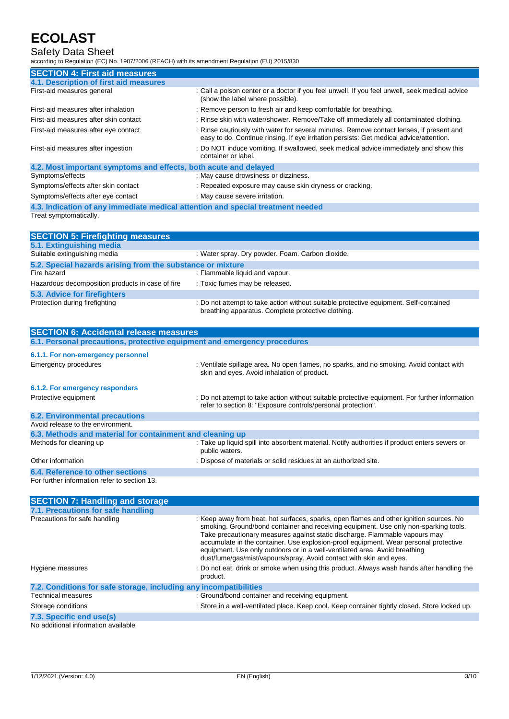## Safety Data Sheet

according to Regulation (EC) No. 1907/2006 (REACH) with its amendment Regulation (EU) 2015/830

| <b>SECTION 4: First aid measures</b>                                            |                                                                                                                                                                                     |
|---------------------------------------------------------------------------------|-------------------------------------------------------------------------------------------------------------------------------------------------------------------------------------|
| 4.1. Description of first aid measures                                          |                                                                                                                                                                                     |
| First-aid measures general                                                      | : Call a poison center or a doctor if you feel unwell. If you feel unwell, seek medical advice<br>(show the label where possible).                                                  |
| First-aid measures after inhalation                                             | : Remove person to fresh air and keep comfortable for breathing.                                                                                                                    |
| First-aid measures after skin contact                                           | : Rinse skin with water/shower. Remove/Take off immediately all contaminated clothing.                                                                                              |
| First-aid measures after eye contact                                            | : Rinse cautiously with water for several minutes. Remove contact lenses, if present and<br>easy to do. Continue rinsing. If eye irritation persists: Get medical advice/attention. |
| First-aid measures after ingestion                                              | : Do NOT induce vomiting. If swallowed, seek medical advice immediately and show this<br>container or label.                                                                        |
| 4.2. Most important symptoms and effects, both acute and delayed                |                                                                                                                                                                                     |
| Symptoms/effects                                                                | : May cause drowsiness or dizziness.                                                                                                                                                |
| Symptoms/effects after skin contact                                             | : Repeated exposure may cause skin dryness or cracking.                                                                                                                             |
| Symptoms/effects after eye contact                                              | : May cause severe irritation.                                                                                                                                                      |
| 4.3. Indication of any immediate medical attention and special treatment needed |                                                                                                                                                                                     |
| Treat symptomatically.                                                          |                                                                                                                                                                                     |

| <b>SECTION 5: Firefighting measures</b>                    |                                                                                                                                             |
|------------------------------------------------------------|---------------------------------------------------------------------------------------------------------------------------------------------|
| 5.1. Extinguishing media                                   |                                                                                                                                             |
| Suitable extinguishing media                               | : Water spray. Dry powder. Foam. Carbon dioxide.                                                                                            |
| 5.2. Special hazards arising from the substance or mixture |                                                                                                                                             |
| Fire hazard                                                | : Flammable liquid and vapour.                                                                                                              |
| Hazardous decomposition products in case of fire           | : Toxic fumes may be released.                                                                                                              |
| 5.3. Advice for firefighters                               |                                                                                                                                             |
| Protection during firefighting                             | : Do not attempt to take action without suitable protective equipment. Self-contained<br>breathing apparatus. Complete protective clothing. |

| <b>SECTION 6: Accidental release measures</b>                            |                                                                                                                                                                |
|--------------------------------------------------------------------------|----------------------------------------------------------------------------------------------------------------------------------------------------------------|
| 6.1. Personal precautions, protective equipment and emergency procedures |                                                                                                                                                                |
| 6.1.1. For non-emergency personnel                                       |                                                                                                                                                                |
| Emergency procedures                                                     | : Ventilate spillage area. No open flames, no sparks, and no smoking. Avoid contact with<br>skin and eyes. Avoid inhalation of product.                        |
| 6.1.2. For emergency responders                                          |                                                                                                                                                                |
| Protective equipment                                                     | : Do not attempt to take action without suitable protective equipment. For further information<br>refer to section 8: "Exposure controls/personal protection". |
| <b>6.2. Environmental precautions</b>                                    |                                                                                                                                                                |
| Avoid release to the environment.                                        |                                                                                                                                                                |
| 6.3. Methods and material for containment and cleaning up                |                                                                                                                                                                |
| Methods for cleaning up                                                  | : Take up liquid spill into absorbent material. Notify authorities if product enters sewers or<br>public waters.                                               |
| Other information                                                        | : Dispose of materials or solid residues at an authorized site.                                                                                                |
| 6.4. Reference to other sections                                         |                                                                                                                                                                |
| For further information refer to section 13.                             |                                                                                                                                                                |

| <b>SECTION 7: Handling and storage</b>                            |                                                                                                                                                                                                                                                                                                                                                                                                                                                                                                             |
|-------------------------------------------------------------------|-------------------------------------------------------------------------------------------------------------------------------------------------------------------------------------------------------------------------------------------------------------------------------------------------------------------------------------------------------------------------------------------------------------------------------------------------------------------------------------------------------------|
| 7.1. Precautions for safe handling                                |                                                                                                                                                                                                                                                                                                                                                                                                                                                                                                             |
| Precautions for safe handling                                     | : Keep away from heat, hot surfaces, sparks, open flames and other ignition sources. No<br>smoking. Ground/bond container and receiving equipment. Use only non-sparking tools.<br>Take precautionary measures against static discharge. Flammable vapours may<br>accumulate in the container. Use explosion-proof equipment. Wear personal protective<br>equipment. Use only outdoors or in a well-ventilated area. Avoid breathing<br>dust/fume/gas/mist/vapours/spray. Avoid contact with skin and eyes. |
| Hygiene measures                                                  | : Do not eat, drink or smoke when using this product. Always wash hands after handling the<br>product.                                                                                                                                                                                                                                                                                                                                                                                                      |
| 7.2. Conditions for safe storage, including any incompatibilities |                                                                                                                                                                                                                                                                                                                                                                                                                                                                                                             |
| <b>Technical measures</b>                                         | : Ground/bond container and receiving equipment.                                                                                                                                                                                                                                                                                                                                                                                                                                                            |
| Storage conditions                                                | : Store in a well-ventilated place. Keep cool. Keep container tightly closed. Store locked up.                                                                                                                                                                                                                                                                                                                                                                                                              |
| 7.3. Specific end use(s)                                          |                                                                                                                                                                                                                                                                                                                                                                                                                                                                                                             |

No additional information available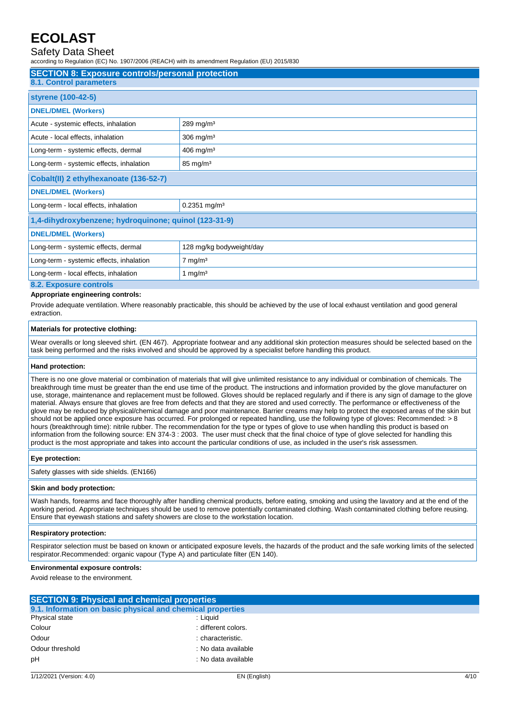### Safety Data Sheet

according to Regulation (EC) No. 1907/2006 (REACH) with its amendment Regulation (EU) 2015/830

| <b>SECTION 8: Exposure controls/personal protection</b><br><b>8.1. Control parameters</b> |                            |  |
|-------------------------------------------------------------------------------------------|----------------------------|--|
| styrene (100-42-5)                                                                        |                            |  |
| <b>DNEL/DMEL (Workers)</b>                                                                |                            |  |
| Acute - systemic effects, inhalation                                                      | $289$ mg/m <sup>3</sup>    |  |
| Acute - local effects, inhalation                                                         | $306$ mg/m <sup>3</sup>    |  |
| Long-term - systemic effects, dermal                                                      | $406$ mg/m <sup>3</sup>    |  |
| Long-term - systemic effects, inhalation                                                  | $85 \text{ mg/m}^3$        |  |
| Cobalt(II) 2 ethylhexanoate (136-52-7)                                                    |                            |  |
| <b>DNEL/DMEL (Workers)</b>                                                                |                            |  |
| Long-term - local effects, inhalation                                                     | $0.2351$ mg/m <sup>3</sup> |  |
| 1,4-dihydroxybenzene; hydroquinone; quinol (123-31-9)                                     |                            |  |
| <b>DNEL/DMEL (Workers)</b>                                                                |                            |  |
| Long-term - systemic effects, dermal                                                      | 128 mg/kg bodyweight/day   |  |
| Long-term - systemic effects, inhalation                                                  | $7 \text{ mg/m}^3$         |  |
| Long-term - local effects, inhalation<br>1 mg/ $m3$                                       |                            |  |
| 8.2. Exposure controls                                                                    |                            |  |

#### **Appropriate engineering controls:**

Provide adequate ventilation. Where reasonably practicable, this should be achieved by the use of local exhaust ventilation and good general extraction.

#### **Materials for protective clothing:**

Wear overalls or long sleeved shirt. (EN 467). Appropriate footwear and any additional skin protection measures should be selected based on the task being performed and the risks involved and should be approved by a specialist before handling this product.

#### **Hand protection:**

There is no one glove material or combination of materials that will give unlimited resistance to any individual or combination of chemicals. The breakthrough time must be greater than the end use time of the product. The instructions and information provided by the glove manufacturer on use, storage, maintenance and replacement must be followed. Gloves should be replaced regularly and if there is any sign of damage to the glove material. Always ensure that gloves are free from defects and that they are stored and used correctly. The performance or effectiveness of the glove may be reduced by physical/chemical damage and poor maintenance. Barrier creams may help to protect the exposed areas of the skin but should not be applied once exposure has occurred. For prolonged or repeated handling, use the following type of gloves: Recommended: > 8 hours (breakthrough time): nitrile rubber. The recommendation for the type or types of glove to use when handling this product is based on information from the following source: EN 374-3 : 2003. The user must check that the final choice of type of glove selected for handling this product is the most appropriate and takes into account the particular conditions of use, as included in the user's risk assessmen.

#### **Eye protection:**

Safety glasses with side shields. (EN166)

#### **Skin and body protection:**

Wash hands, forearms and face thoroughly after handling chemical products, before eating, smoking and using the lavatory and at the end of the working period. Appropriate techniques should be used to remove potentially contaminated clothing. Wash contaminated clothing before reusing. Ensure that eyewash stations and safety showers are close to the workstation location.

#### **Respiratory protection:**

Respirator selection must be based on known or anticipated exposure levels, the hazards of the product and the safe working limits of the selected respirator.Recommended: organic vapour (Type A) and particulate filter (EN 140).

#### **Environmental exposure controls:**

Avoid release to the environment.

| <b>SECTION 9: Physical and chemical properties</b>         |                     |
|------------------------------------------------------------|---------------------|
| 9.1. Information on basic physical and chemical properties |                     |
| Physical state                                             | : Liauid            |
| Colour                                                     | : different colors. |
| Odour                                                      | : characteristic.   |
| Odour threshold                                            | : No data available |
| pH                                                         | : No data available |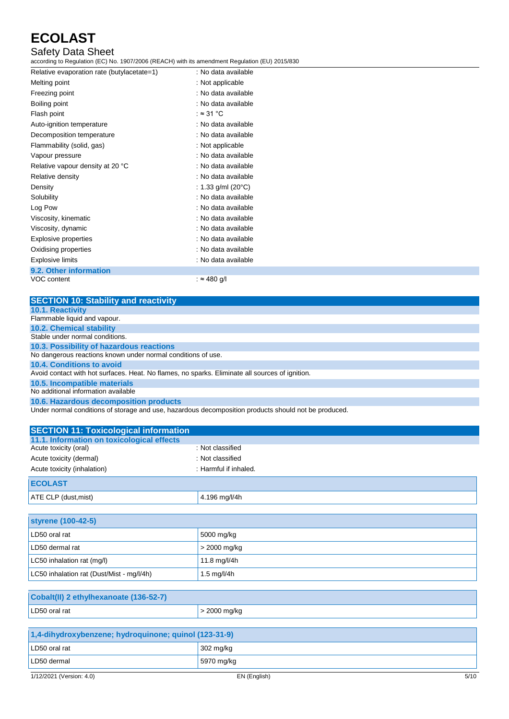### Safety Data Sheet

according to Regulation (EC) No. 1907/2006 (REACH) with its amendment Regulation (EU) 2015/830

| Relative evaporation rate (butylacetate=1) | : No data available |
|--------------------------------------------|---------------------|
| Melting point                              | : Not applicable    |
| Freezing point                             | : No data available |
| Boiling point                              | : No data available |
| Flash point                                | : $\approx$ 31 °C   |
| Auto-ignition temperature                  | : No data available |
| Decomposition temperature                  | : No data available |
| Flammability (solid, gas)                  | : Not applicable    |
| Vapour pressure                            | : No data available |
| Relative vapour density at 20 °C           | : No data available |
| Relative density                           | : No data available |
| Density                                    | : 1.33 g/ml (20°C)  |
| Solubility                                 | : No data available |
| Log Pow                                    | : No data available |
| Viscosity, kinematic                       | : No data available |
| Viscosity, dynamic                         | : No data available |
| Explosive properties                       | : No data available |
| Oxidising properties                       | : No data available |
| <b>Explosive limits</b>                    | : No data available |
| 9.2. Other information                     |                     |
| VOC content                                | : ≈ 480 g/l         |

| <b>SECTION 10: Stability and reactivity</b>                                                          |
|------------------------------------------------------------------------------------------------------|
| <b>10.1. Reactivity</b>                                                                              |
| Flammable liquid and vapour.                                                                         |
| <b>10.2. Chemical stability</b>                                                                      |
| Stable under normal conditions.                                                                      |
| 10.3. Possibility of hazardous reactions                                                             |
| No dangerous reactions known under normal conditions of use.                                         |
| 10.4. Conditions to avoid                                                                            |
| Avoid contact with hot surfaces. Heat. No flames, no sparks. Eliminate all sources of ignition.      |
| 10.5. Incompatible materials                                                                         |
| No additional information available                                                                  |
| 10.6. Hazardous decomposition products                                                               |
| Under normal conditions of storage and use, hazardous decomposition products should not be produced. |

| <b>SECTION 11: Toxicological information</b> |                       |
|----------------------------------------------|-----------------------|
| 11.1. Information on toxicological effects   |                       |
| Acute toxicity (oral)                        | : Not classified      |
| Acute toxicity (dermal)                      | : Not classified      |
| Acute toxicity (inhalation)                  | : Harmful if inhaled. |
| <b>ECOLAST</b>                               |                       |
| ATE CLP (dust, mist)                         | 4.196 mg/l/4h         |

| styrene (100-42-5)                        |               |
|-------------------------------------------|---------------|
| LD50 oral rat                             | 5000 mg/kg    |
| LD50 dermal rat                           | > 2000 mg/kg  |
| LC50 inhalation rat (mg/l)                | 11.8 mg/l/4h  |
| LC50 inhalation rat (Dust/Mist - mg/l/4h) | 1.5 $mq/l/4h$ |

| Cobalt(II) 2 ethylhexanoate (136-52-7)                |              |      |
|-------------------------------------------------------|--------------|------|
| LD50 oral rat                                         | > 2000 mg/kg |      |
|                                                       |              |      |
| 1,4-dihydroxybenzene; hydroquinone; quinol (123-31-9) |              |      |
| LD50 oral rat                                         | 302 mg/kg    |      |
| LD50 dermal                                           | 5970 mg/kg   |      |
| 1/12/2021 (Version: 4.0)                              | EN (English) | 5/10 |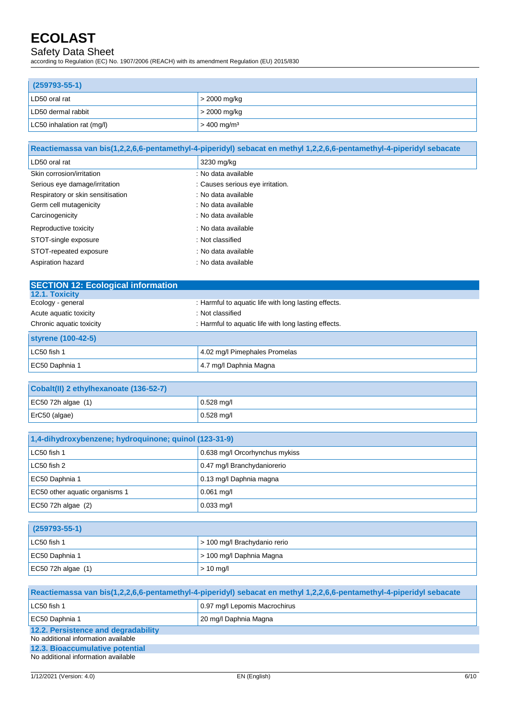## Safety Data Sheet

according to Regulation (EC) No. 1907/2006 (REACH) with its amendment Regulation (EU) 2015/830

| $(259793 - 55 - 1)$        |                           |
|----------------------------|---------------------------|
| LD50 oral rat              | $\vert$ > 2000 mg/kg      |
| LD50 dermal rabbit         | $>$ 2000 mg/kg            |
| LC50 inhalation rat (mg/l) | $> 400$ mg/m <sup>3</sup> |

| Reactiemassa van bis(1,2,2,6,6-pentamethyl-4-piperidyl) sebacat en methyl 1,2,2,6,6-pentamethyl-4-piperidyl sebacate |                                  |  |
|----------------------------------------------------------------------------------------------------------------------|----------------------------------|--|
| LD50 oral rat                                                                                                        | 3230 mg/kg                       |  |
| Skin corrosion/irritation                                                                                            | : No data available              |  |
| Serious eye damage/irritation                                                                                        | : Causes serious eye irritation. |  |
| Respiratory or skin sensitisation                                                                                    | : No data available              |  |
| Germ cell mutagenicity                                                                                               | : No data available              |  |
| Carcinogenicity                                                                                                      | : No data available              |  |
| Reproductive toxicity                                                                                                | : No data available              |  |
| STOT-single exposure                                                                                                 | : Not classified                 |  |
| STOT-repeated exposure                                                                                               | : No data available              |  |
| Aspiration hazard                                                                                                    | : No data available              |  |

| <b>SECTION 12: Ecological information</b> |                                                      |
|-------------------------------------------|------------------------------------------------------|
| <b>12.1. Toxicity</b>                     |                                                      |
| Ecology - general                         | : Harmful to aquatic life with long lasting effects. |
| Acute aquatic toxicity                    | : Not classified                                     |
| Chronic aquatic toxicity                  | : Harmful to aquatic life with long lasting effects. |
| styrene (100-42-5)                        |                                                      |
| LC50 fish 1                               | 4.02 mg/l Pimephales Promelas                        |
| EC50 Daphnia 1                            | 4.7 mg/l Daphnia Magna                               |

| Cobalt(II) 2 ethylhexanoate (136-52-7) |              |
|----------------------------------------|--------------|
| EC50 72h algae $(1)$                   | $0.528$ mg/l |
| $ $ ErC50 (algae)                      | $0.528$ mg/l |

| 1,4-dihydroxybenzene; hydroquinone; quinol (123-31-9) |                                |
|-------------------------------------------------------|--------------------------------|
| LC50 fish 1                                           | 0.638 mg/l Orcorhynchus mykiss |
| LC50 fish 2                                           | 0.47 mg/l Branchydaniorerio    |
| EC50 Daphnia 1                                        | 0.13 mg/l Daphnia magna        |
| EC50 other aquatic organisms 1                        | $0.061$ mg/l                   |
| EC50 72h algae $(2)$                                  | $0.033$ mg/l                   |

| $(259793 - 55 - 1)$  |                                      |
|----------------------|--------------------------------------|
| LC50 fish 1          | $\vert$ > 100 mg/l Brachydanio rerio |
| EC50 Daphnia 1       | $\vert$ > 100 mg/l Daphnia Magna     |
| EC50 72h algae $(1)$ | $> 10$ mg/l                          |

| Reactiemassa van bis(1,2,2,6,6-pentamethyl-4-piperidyl) sebacat en methyl 1,2,2,6,6-pentamethyl-4-piperidyl sebacate |                               |  |
|----------------------------------------------------------------------------------------------------------------------|-------------------------------|--|
| LC50 fish 1                                                                                                          | 0.97 mg/l Lepomis Macrochirus |  |
| EC50 Daphnia 1                                                                                                       | 20 mg/l Daphnia Magna         |  |
| 12.2. Persistence and degradability<br>No additional information available                                           |                               |  |
| 12.3. Bioaccumulative potential<br>No additional information available                                               |                               |  |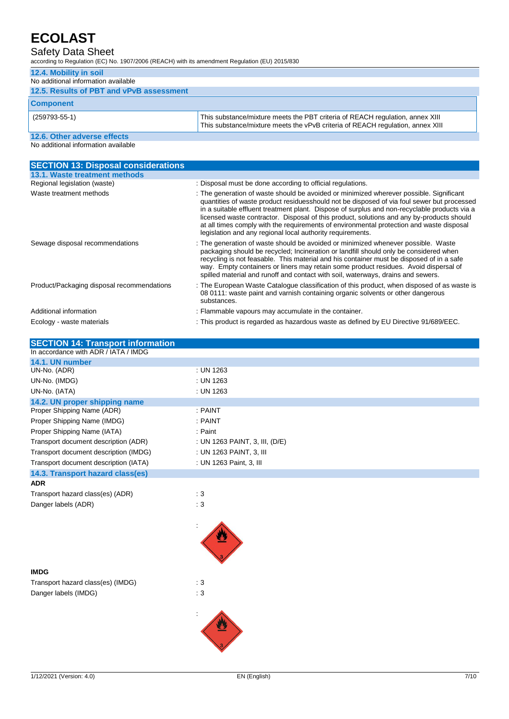### Safety Data Sheet

according to Regulation (EC) No. 1907/2006 (REACH) with its amendment Regulation (EU) 2015/830

| 12.4. Mobility in soil                   |                                                                                                                                                                 |
|------------------------------------------|-----------------------------------------------------------------------------------------------------------------------------------------------------------------|
| No additional information available      |                                                                                                                                                                 |
| 12.5. Results of PBT and vPvB assessment |                                                                                                                                                                 |
| <b>Component</b>                         |                                                                                                                                                                 |
| $(259793-55-1)$                          | This substance/mixture meets the PBT criteria of REACH regulation, annex XIII<br>This substance/mixture meets the vPvB criteria of REACH regulation, annex XIII |
| 12.6. Other adverse effects              |                                                                                                                                                                 |
| No additional information available      |                                                                                                                                                                 |

**SECTION 13: Disposal considerations 13.1. Waste treatment methods** Regional legislation (waste) : Disposal must be done according to official regulations. Waste treatment methods : The generation of waste should be avoided or minimized wherever possible. Significant quantities of waste product residuesshould not be disposed of via foul sewer but processed in a suitable effluent treatment plant. Dispose of surplus and non-recyclable products via a licensed waste contractor. Disposal of this product, solutions and any by-products should at all times comply with the requirements of environmental protection and waste disposal legislation and any regional local authority requirements. Sewage disposal recommendations : The generation of waste should be avoided or minimized whenever possible. Waste packaging should be recycled; Incineration or landfill should only be considered when recycling is not feasable. This material and his container must be disposed of in a safe way. Empty containers or liners may retain some product residues. Avoid dispersal of spilled material and runoff and contact with soil, waterways, drains and sewers. Product/Packaging disposal recommendations : The European Waste Catalogue classification of this product, when disposed of as waste is 08 0111: waste paint and varnish containing organic solvents or other dangerous substances. Additional information **interval in the container.** : Flammable vapours may accumulate in the container. Ecology - waste materials : This product is regarded as hazardous waste as defined by EU Directive 91/689/EEC.

| <b>SECTION 14: Transport information</b> |                                |
|------------------------------------------|--------------------------------|
| In accordance with ADR / IATA / IMDG     |                                |
| 14.1. UN number                          |                                |
| UN-No. (ADR)                             | : UN 1263                      |
| UN-No. (IMDG)                            | : UN 1263                      |
| UN-No. (IATA)                            | : UN 1263                      |
| 14.2. UN proper shipping name            |                                |
| Proper Shipping Name (ADR)               | : PAINT                        |
| Proper Shipping Name (IMDG)              | : PAINT                        |
| Proper Shipping Name (IATA)              | : Paint                        |
| Transport document description (ADR)     | : UN 1263 PAINT, 3, III, (D/E) |
| Transport document description (IMDG)    | : UN 1263 PAINT, 3, III        |
| Transport document description (IATA)    | : UN 1263 Paint, 3, III        |
| 14.3. Transport hazard class(es)         |                                |
| <b>ADR</b>                               |                                |
| Transport hazard class(es) (ADR)         | $\therefore$ 3                 |
| Danger labels (ADR)                      | : 3                            |
|                                          |                                |
| <b>IMDG</b>                              |                                |
| Transport hazard class(es) (IMDG)        | :3                             |
| Danger labels (IMDG)                     | :3                             |
|                                          |                                |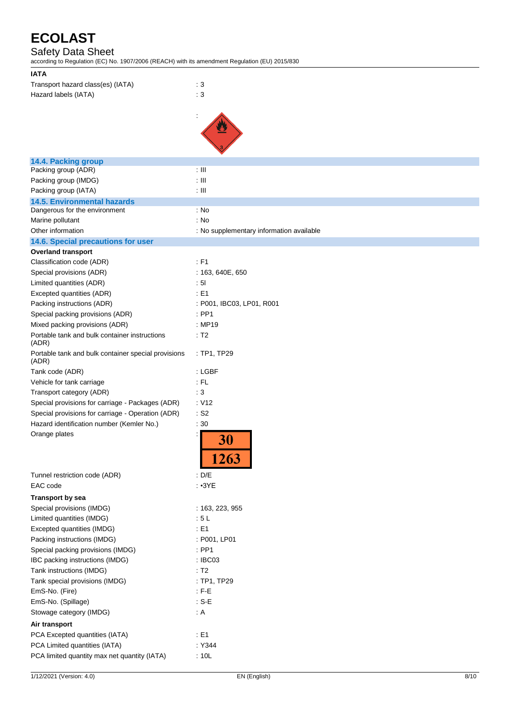### Safety Data Sheet

according to Regulation (EC) No. 1907/2006 (REACH) with its amendment Regulation (EU) 2015/830

| <b>IATA</b>                                                  |                                          |
|--------------------------------------------------------------|------------------------------------------|
| Transport hazard class(es) (IATA)                            | $\therefore$ 3                           |
| Hazard labels (IATA)                                         | $\therefore$ 3                           |
|                                                              |                                          |
|                                                              |                                          |
|                                                              |                                          |
|                                                              |                                          |
|                                                              |                                          |
|                                                              |                                          |
| 14.4. Packing group                                          |                                          |
| Packing group (ADR)                                          | $\pm$ III                                |
| Packing group (IMDG)                                         | $\pm$ III                                |
| Packing group (IATA)                                         | $\pm$ III                                |
| <b>14.5. Environmental hazards</b>                           |                                          |
| Dangerous for the environment                                | : No                                     |
| Marine pollutant                                             | : No                                     |
| Other information                                            | : No supplementary information available |
| 14.6. Special precautions for user                           |                                          |
| <b>Overland transport</b>                                    |                                          |
| Classification code (ADR)                                    | : F1                                     |
| Special provisions (ADR)                                     | : 163, 640E, 650                         |
| Limited quantities (ADR)                                     | : 51                                     |
| Excepted quantities (ADR)                                    | : E1                                     |
| Packing instructions (ADR)                                   | : P001, IBC03, LP01, R001                |
| Special packing provisions (ADR)                             | $:$ PP1                                  |
| Mixed packing provisions (ADR)                               | : MP19                                   |
| Portable tank and bulk container instructions                | : T2                                     |
| (ADR)                                                        |                                          |
| Portable tank and bulk container special provisions<br>(ADR) | : TP1, TP29                              |
| Tank code (ADR)                                              | : LGBF                                   |
| Vehicle for tank carriage                                    | : FL                                     |
| Transport category (ADR)                                     | : 3                                      |
| Special provisions for carriage - Packages (ADR)             | : V12                                    |
| Special provisions for carriage - Operation (ADR)            | $:$ S <sub>2</sub>                       |
| Hazard identification number (Kemler No.)                    | :30                                      |
| Orange plates                                                | 30                                       |
|                                                              | 1263                                     |
| Tunnel restriction code (ADR)                                | : D/E                                    |
| EAC code                                                     | $\cdot$ $\cdot$ 3YE                      |
| <b>Transport by sea</b>                                      |                                          |
| Special provisions (IMDG)                                    | : 163, 223, 955                          |
| Limited quantities (IMDG)                                    | :5L                                      |
| Excepted quantities (IMDG)                                   | : E1                                     |
| Packing instructions (IMDG)                                  | : P001, LP01                             |
| Special packing provisions (IMDG)                            | $:$ PP1                                  |
| IBC packing instructions (IMDG)                              | : IBC03                                  |
| Tank instructions (IMDG)                                     | : T2                                     |
|                                                              |                                          |
| Tank special provisions (IMDG)                               | : TP1, TP29                              |
| EmS-No. (Fire)                                               | $: F-E$                                  |
| EmS-No. (Spillage)                                           | $: S-E$                                  |
| Stowage category (IMDG)                                      | : A                                      |
| Air transport                                                |                                          |
| PCA Excepted quantities (IATA)                               | $\div$ E1                                |
| PCA Limited quantities (IATA)                                | :Y344                                    |
| PCA limited quantity max net quantity (IATA)                 | : 10L                                    |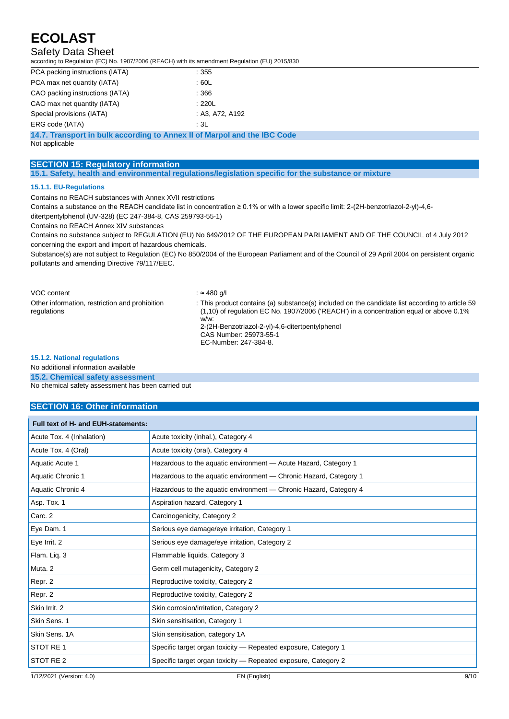### Safety Data Sheet

according to Regulation (EC) No. 1907/2006 (REACH) with its amendment Regulation (EU) 2015/830

| PCA packing instructions (IATA) | :355            |
|---------------------------------|-----------------|
| PCA max net quantity (IATA)     | :60L            |
| CAO packing instructions (IATA) | : 366           |
| CAO max net quantity (IATA)     | :220L           |
| Special provisions (IATA)       | : A3, A72, A192 |
| ERG code (IATA)                 | :3L             |

**14.7. Transport in bulk according to Annex II of Marpol and the IBC Code**

Not applicable

#### **SECTION 15: Regulatory information**

**15.1. Safety, health and environmental regulations/legislation specific for the substance or mixture**

#### **15.1.1. EU-Regulations**

Contains no REACH substances with Annex XVII restrictions

Contains a substance on the REACH candidate list in concentration ≥ 0.1% or with a lower specific limit: 2-(2H-benzotriazol-2-yl)-4,6 ditertpentylphenol (UV-328) (EC 247-384-8, CAS 259793-55-1)

Contains no REACH Annex XIV substances

Contains no substance subject to REGULATION (EU) No 649/2012 OF THE EUROPEAN PARLIAMENT AND OF THE COUNCIL of 4 July 2012 concerning the export and import of hazardous chemicals.

Substance(s) are not subject to Regulation (EC) No 850/2004 of the European Parliament and of the Council of 29 April 2004 on persistent organic pollutants and amending Directive 79/117/EEC.

| VOC content                                                   | : ≈ 480 a/l                                                                                                                                                                                                                                                                                               |
|---------------------------------------------------------------|-----------------------------------------------------------------------------------------------------------------------------------------------------------------------------------------------------------------------------------------------------------------------------------------------------------|
| Other information, restriction and prohibition<br>regulations | : This product contains (a) substance(s) included on the candidate list according to article 59<br>$(1.10)$ of regulation EC No. 1907/2006 ('REACH') in a concentration equal or above 0.1%<br>w/w.<br>2-(2H-Benzotriazol-2-yl)-4,6-ditertpentylphenol<br>CAS Number: 25973-55-1<br>EC-Number: 247-384-8. |

#### **15.1.2. National regulations**

No additional information available

**15.2. Chemical safety assessment**

No chemical safety assessment has been carried out

### **SECTION 16: Other information**

| Full text of H- and EUH-statements: |                                                                   |  |
|-------------------------------------|-------------------------------------------------------------------|--|
| Acute Tox. 4 (Inhalation)           | Acute toxicity (inhal.), Category 4                               |  |
| Acute Tox. 4 (Oral)                 | Acute toxicity (oral), Category 4                                 |  |
| Aquatic Acute 1                     | Hazardous to the aquatic environment - Acute Hazard, Category 1   |  |
| Aquatic Chronic 1                   | Hazardous to the aquatic environment - Chronic Hazard, Category 1 |  |
| Aquatic Chronic 4                   | Hazardous to the aquatic environment - Chronic Hazard, Category 4 |  |
| Asp. Tox. 1                         | Aspiration hazard, Category 1                                     |  |
| Carc. 2                             | Carcinogenicity, Category 2                                       |  |
| Eye Dam. 1                          | Serious eye damage/eye irritation, Category 1                     |  |
| Eye Irrit. 2                        | Serious eye damage/eye irritation, Category 2                     |  |
| Flam. Liq. 3                        | Flammable liquids, Category 3                                     |  |
| Muta <sub>.2</sub>                  | Germ cell mutagenicity, Category 2                                |  |
| Repr. 2                             | Reproductive toxicity, Category 2                                 |  |
| Repr. 2                             | Reproductive toxicity, Category 2                                 |  |
| Skin Irrit. 2                       | Skin corrosion/irritation, Category 2                             |  |
| Skin Sens. 1                        | Skin sensitisation, Category 1                                    |  |
| Skin Sens, 1A                       | Skin sensitisation, category 1A                                   |  |
| STOT RE 1                           | Specific target organ toxicity – Repeated exposure, Category 1    |  |
| STOT RE <sub>2</sub>                | Specific target organ toxicity – Repeated exposure, Category 2    |  |